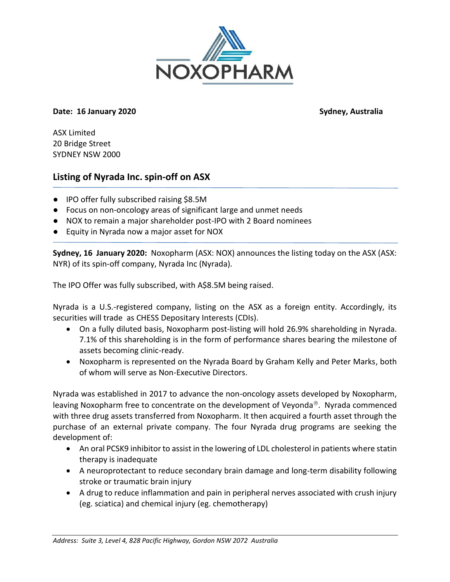

# **Date: 16 January 2020 Sydney, Australia**

ASX Limited 20 Bridge Street SYDNEY NSW 2000

# **Listing of Nyrada Inc. spin-off on ASX**

- IPO offer fully subscribed raising \$8.5M
- Focus on non-oncology areas of significant large and unmet needs
- NOX to remain a major shareholder post-IPO with 2 Board nominees
- Equity in Nyrada now a major asset for NOX

**Sydney, 16 January 2020:** Noxopharm (ASX: NOX) announces the listing today on the ASX (ASX: NYR) of its spin-off company, Nyrada Inc (Nyrada).

The IPO Offer was fully subscribed, with A\$8.5M being raised.

Nyrada is a U.S.-registered company, listing on the ASX as a foreign entity. Accordingly, its securities will trade as CHESS Depositary Interests (CDIs).

- On a fully diluted basis, Noxopharm post-listing will hold 26.9% shareholding in Nyrada. 7.1% of this shareholding is in the form of performance shares bearing the milestone of assets becoming clinic-ready.
- Noxopharm is represented on the Nyrada Board by Graham Kelly and Peter Marks, both of whom will serve as Non-Executive Directors.

Nyrada was established in 2017 to advance the non-oncology assets developed by Noxopharm, leaving Noxopharm free to concentrate on the development of Veyonda<sup>®</sup>. Nyrada commenced with three drug assets transferred from Noxopharm. It then acquired a fourth asset through the purchase of an external private company. The four Nyrada drug programs are seeking the development of:

- An oral PCSK9 inhibitor to assist in the lowering of LDL cholesterol in patients where statin therapy is inadequate
- A neuroprotectant to reduce secondary brain damage and long-term disability following stroke or traumatic brain injury
- A drug to reduce inflammation and pain in peripheral nerves associated with crush injury (eg. sciatica) and chemical injury (eg. chemotherapy)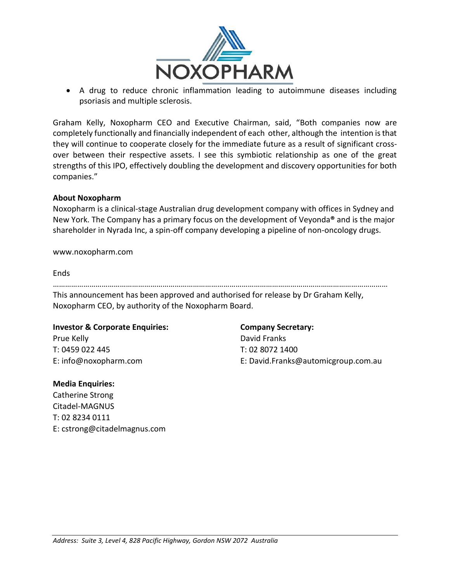

• A drug to reduce chronic inflammation leading to autoimmune diseases including psoriasis and multiple sclerosis.

Graham Kelly, Noxopharm CEO and Executive Chairman, said, "Both companies now are completely functionally and financially independent of each other, although the intention is that they will continue to cooperate closely for the immediate future as a result of significant crossover between their respective assets. I see this symbiotic relationship as one of the great strengths of this IPO, effectively doubling the development and discovery opportunities for both companies."

# **About Noxopharm**

Noxopharm is a clinical-stage Australian drug development company with offices in Sydney and New York. The Company has a primary focus on the development of Veyonda**®** and is the major shareholder in Nyrada Inc, a spin-off company developing a pipeline of non-oncology drugs.

www.noxopharm.com

Ends

| This announcement has been approved and authorised for release by Dr Graham Kelly, |
|------------------------------------------------------------------------------------|
|                                                                                    |
| Noxopharm CEO, by authority of the Noxopharm Board.                                |

### **Investor & Corporate Enquiries: Company Secretary:**

Prue Kelly **David Franks** T: 0459 022 445 T: 02 8072 1400

# **Media Enquiries:**

Catherine Strong Citadel-MAGNUS T: 02 8234 0111 E: cstrong@citadelmagnus.com

E: info@noxopharm.com E: David.Franks@automicgroup.com.au